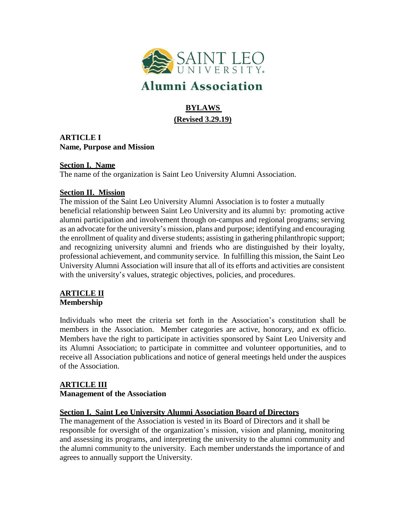

# **Alumni Association**

# **BYLAWS (Revised 3.29.19)**

**ARTICLE I Name, Purpose and Mission**

#### **Section I. Name**

The name of the organization is Saint Leo University Alumni Association.

#### **Section II. Mission**

The mission of the Saint Leo University Alumni Association is to foster a mutually beneficial relationship between Saint Leo University and its alumni by: promoting active alumni participation and involvement through on-campus and regional programs; serving as an advocate for the university's mission, plans and purpose; identifying and encouraging the enrollment of quality and diverse students; assisting in gathering philanthropic support; and recognizing university alumni and friends who are distinguished by their loyalty, professional achievement, and community service. In fulfilling this mission, the Saint Leo University Alumni Association will insure that all of its efforts and activities are consistent with the university's values, strategic objectives, policies, and procedures.

# **ARTICLE II Membership**

Individuals who meet the criteria set forth in the Association's constitution shall be members in the Association. Member categories are active, honorary, and ex officio. Members have the right to participate in activities sponsored by Saint Leo University and its Alumni Association; to participate in committee and volunteer opportunities, and to receive all Association publications and notice of general meetings held under the auspices of the Association.

# **ARTICLE III**

#### **Management of the Association**

#### **Section I. Saint Leo University Alumni Association Board of Directors**

The management of the Association is vested in its Board of Directors and it shall be responsible for oversight of the organization's mission, vision and planning, monitoring and assessing its programs, and interpreting the university to the alumni community and the alumni community to the university. Each member understands the importance of and agrees to annually support the University.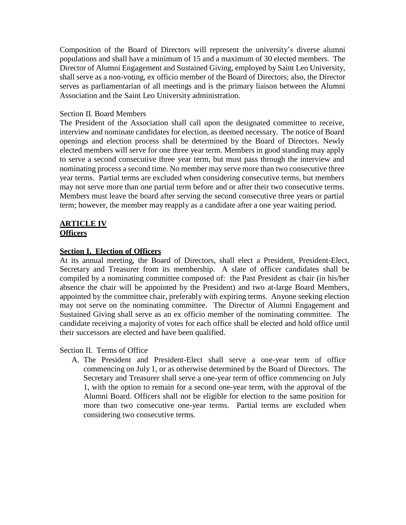Composition of the Board of Directors will represent the university's diverse alumni populations and shall have a minimum of 15 and a maximum of 30 elected members. The Director of Alumni Engagement and Sustained Giving, employed by Saint Leo University, shall serve as a non-voting, ex officio member of the Board of Directors; also, the Director serves as parliamentarian of all meetings and is the primary liaison between the Alumni Association and the Saint Leo University administration.

#### Section II. Board Members

The President of the Association shall call upon the designated committee to receive, interview and nominate candidates for election, as deemed necessary. The notice of Board openings and election process shall be determined by the Board of Directors. Newly elected members will serve for one three year term. Members in good standing may apply to serve a second consecutive three year term, but must pass through the interview and nominating process a second time. No member may serve more than two consecutive three year terms. Partial terms are excluded when considering consecutive terms, but members may not serve more than one partial term before and or after their two consecutive terms. Members must leave the board after serving the second consecutive three years or partial term; however, the member may reapply as a candidate after a one year waiting period.

#### **ARTICLE IV Officers**

#### **Section I. Election of Officers**

At its annual meeting, the Board of Directors, shall elect a President, President-Elect, Secretary and Treasurer from its membership. A slate of officer candidates shall be compiled by a nominating committee composed of: the Past President as chair (in his/her absence the chair will be appointed by the President) and two at-large Board Members, appointed by the committee chair, preferably with expiring terms. Anyone seeking election may not serve on the nominating committee. The Director of Alumni Engagement and Sustained Giving shall serve as an ex officio member of the nominating committee. The candidate receiving a majority of votes for each office shall be elected and hold office until their successors are elected and have been qualified.

#### Section II. Terms of Office

A. The President and President-Elect shall serve a one-year term of office commencing on July 1, or as otherwise determined by the Board of Directors. The Secretary and Treasurer shall serve a one-year term of office commencing on July 1, with the option to remain for a second one-year term, with the approval of the Alumni Board. Officers shall not be eligible for election to the same position for more than two consecutive one-year terms. Partial terms are excluded when considering two consecutive terms.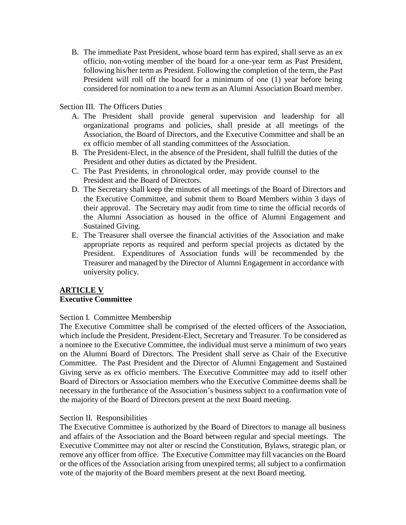B. The immediate Past President, whose board term has expired, shall serve as an ex officio, non-voting member of the board for a one-year term as Past President, following his/her term as President. Following the completion of the term, the Past President will roll off the board for a minimum of one (1) year before being considered for nomination to a new term as an Alumni Association Board member.

#### Section III. The Officers Duties

- A. The President shall provide general supervision and leadership for all organizational programs and policies, shall preside at all meetings of the Association, the Board of Directors, and the Executive Committee and shall be an ex officio member of all standing committees of the Association.
- B. The President-Elect, in the absence of the President, shall fulfill the duties of the President and other duties as dictated by the President.
- C. The Past Presidents, in chronological order, may provide counsel to the President and the Board of Directors.
- D. The Secretary shall keep the minutes of all meetings of the Board of Directors and the Executive Committee, and submit them to Board Members within 3 days of their approval. The Secretary may audit from time to time the official records of the Alumni Association as housed in the office of Alumni Engagement and Sustained Giving.
- E. The Treasurer shall oversee the financial activities of the Association and make appropriate reports as required and perform special projects as dictated by the President. Expenditures of Association funds will be recommended by the Treasurer and managed by the Director of Alumni Engagement in accordance with university policy.

#### **ARTICLE V Executive Committee**

#### Section I. Committee Membership

The Executive Committee shall be comprised of the elected officers of the Association, which include the President, President-Elect, Secretary and Treasurer. To be considered as a nominee to the Executive Committee, the individual must serve a minimum of two years on the Alumni Board of Directors. The President shall serve as Chair of the Executive Committee. The Past President and the Director of Alumni Engagement and Sustained Giving serve as ex officio members. The Executive Committee may add to itself other Board of Directors or Association members who the Executive Committee deems shall be necessary in the furtherance of the Association's business subject to a confirmation vote of the majority of the Board of Directors present at the next Board meeting.

#### Section II. Responsibilities

The Executive Committee is authorized by the Board of Directors to manage all business and affairs of the Association and the Board between regular and special meetings. The Executive Committee may not alter or rescind the Constitution, Bylaws, strategic plan, or remove any officer from office. The Executive Committee may fill vacancies on the Board or the offices of the Association arising from unexpired terms; all subject to a confirmation vote of the majority of the Board members present at the next Board meeting.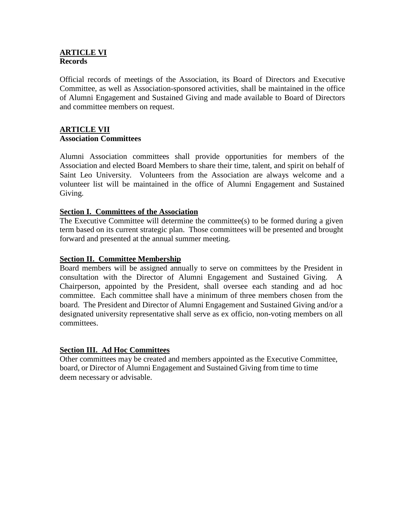#### **ARTICLE VI Records**

Official records of meetings of the Association, its Board of Directors and Executive Committee, as well as Association-sponsored activities, shall be maintained in the office of Alumni Engagement and Sustained Giving and made available to Board of Directors and committee members on request.

#### **ARTICLE VII Association Committees**

Alumni Association committees shall provide opportunities for members of the Association and elected Board Members to share their time, talent, and spirit on behalf of Saint Leo University. Volunteers from the Association are always welcome and a volunteer list will be maintained in the office of Alumni Engagement and Sustained Giving.

#### **Section I. Committees of the Association**

The Executive Committee will determine the committee(s) to be formed during a given term based on its current strategic plan. Those committees will be presented and brought forward and presented at the annual summer meeting.

#### **Section II. Committee Membership**

Board members will be assigned annually to serve on committees by the President in consultation with the Director of Alumni Engagement and Sustained Giving. A Chairperson, appointed by the President, shall oversee each standing and ad hoc committee. Each committee shall have a minimum of three members chosen from the board. The President and Director of Alumni Engagement and Sustained Giving and/or a designated university representative shall serve as ex officio, non-voting members on all committees.

#### **Section III. Ad Hoc Committees**

Other committees may be created and members appointed as the Executive Committee, board, or Director of Alumni Engagement and Sustained Giving from time to time deem necessary or advisable.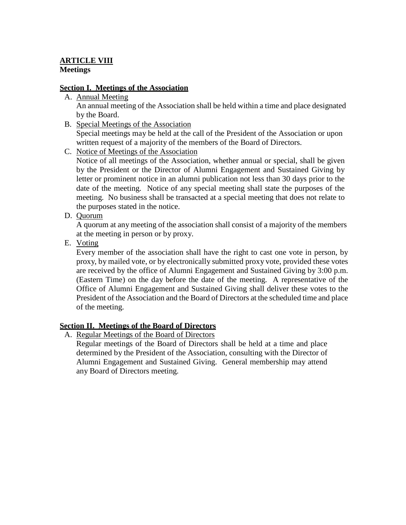# **ARTICLE VIII Meetings**

## **Section I. Meetings of the Association**

- A. Annual Meeting An annual meeting of the Association shall be held within a time and place designated by the Board.
- B. Special Meetings of the Association

Special meetings may be held at the call of the President of the Association or upon written request of a majority of the members of the Board of Directors.

C. Notice of Meetings of the Association

Notice of all meetings of the Association, whether annual or special, shall be given by the President or the Director of Alumni Engagement and Sustained Giving by letter or prominent notice in an alumni publication not less than 30 days prior to the date of the meeting. Notice of any special meeting shall state the purposes of the meeting. No business shall be transacted at a special meeting that does not relate to the purposes stated in the notice.

D. Quorum

A quorum at any meeting of the association shall consist of a majority of the members at the meeting in person or by proxy.

E. Voting

Every member of the association shall have the right to cast one vote in person, by proxy, by mailed vote, or by electronically submitted proxy vote, provided these votes are received by the office of Alumni Engagement and Sustained Giving by 3:00 p.m. (Eastern Time) on the day before the date of the meeting. A representative of the Office of Alumni Engagement and Sustained Giving shall deliver these votes to the President of the Association and the Board of Directors at the scheduled time and place of the meeting.

# **Section II. Meetings of the Board of Directors**

A. Regular Meetings of the Board of Directors

Regular meetings of the Board of Directors shall be held at a time and place determined by the President of the Association, consulting with the Director of Alumni Engagement and Sustained Giving. General membership may attend any Board of Directors meeting.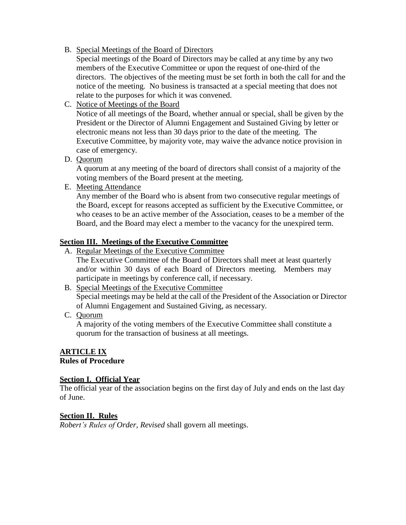B. Special Meetings of the Board of Directors

Special meetings of the Board of Directors may be called at any time by any two members of the Executive Committee or upon the request of one-third of the directors. The objectives of the meeting must be set forth in both the call for and the notice of the meeting. No business is transacted at a special meeting that does not relate to the purposes for which it was convened.

C. Notice of Meetings of the Board

Notice of all meetings of the Board, whether annual or special, shall be given by the President or the Director of Alumni Engagement and Sustained Giving by letter or electronic means not less than 30 days prior to the date of the meeting. The Executive Committee, by majority vote, may waive the advance notice provision in case of emergency.

D. Quorum

A quorum at any meeting of the board of directors shall consist of a majority of the voting members of the Board present at the meeting.

E. Meeting Attendance

Any member of the Board who is absent from two consecutive regular meetings of the Board, except for reasons accepted as sufficient by the Executive Committee, or who ceases to be an active member of the Association, ceases to be a member of the Board, and the Board may elect a member to the vacancy for the unexpired term.

#### **Section III. Meetings of the Executive Committee**

A. Regular Meetings of the Executive Committee

The Executive Committee of the Board of Directors shall meet at least quarterly and/or within 30 days of each Board of Directors meeting. Members may participate in meetings by conference call, if necessary.

- B. Special Meetings of the Executive Committee Special meetings may be held at the call of the President of the Association or Director of Alumni Engagement and Sustained Giving, as necessary.
- C. Quorum

A majority of the voting members of the Executive Committee shall constitute a quorum for the transaction of business at all meetings.

#### **ARTICLE IX Rules of Procedure**

#### **Section I. Official Year**

The official year of the association begins on the first day of July and ends on the last day of June.

#### **Section II. Rules**

*Robert's Rules of Order, Revised* shall govern all meetings.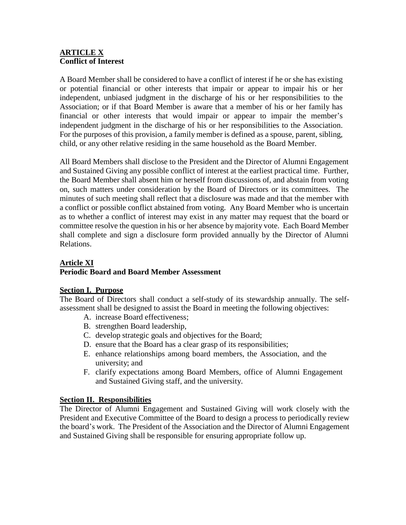#### **ARTICLE X Conflict of Interest**

A Board Member shall be considered to have a conflict of interest if he or she has existing or potential financial or other interests that impair or appear to impair his or her independent, unbiased judgment in the discharge of his or her responsibilities to the Association; or if that Board Member is aware that a member of his or her family has financial or other interests that would impair or appear to impair the member's independent judgment in the discharge of his or her responsibilities to the Association. For the purposes of this provision, a family member is defined as a spouse, parent, sibling, child, or any other relative residing in the same household as the Board Member.

All Board Members shall disclose to the President and the Director of Alumni Engagement and Sustained Giving any possible conflict of interest at the earliest practical time. Further, the Board Member shall absent him or herself from discussions of, and abstain from voting on, such matters under consideration by the Board of Directors or its committees. The minutes of such meeting shall reflect that a disclosure was made and that the member with a conflict or possible conflict abstained from voting. Any Board Member who is uncertain as to whether a conflict of interest may exist in any matter may request that the board or committee resolve the question in his or her absence by majority vote. Each Board Member shall complete and sign a disclosure form provided annually by the Director of Alumni Relations.

# **Article XI**

# **Periodic Board and Board Member Assessment**

#### **Section I. Purpose**

The Board of Directors shall conduct a self-study of its stewardship annually. The selfassessment shall be designed to assist the Board in meeting the following objectives:

- A. increase Board effectiveness;
- B. strengthen Board leadership,
- C. develop strategic goals and objectives for the Board;
- D. ensure that the Board has a clear grasp of its responsibilities;
- E. enhance relationships among board members, the Association, and the university; and
- F. clarify expectations among Board Members, office of Alumni Engagement and Sustained Giving staff, and the university.

#### **Section II. Responsibilities**

The Director of Alumni Engagement and Sustained Giving will work closely with the President and Executive Committee of the Board to design a process to periodically review the board's work. The President of the Association and the Director of Alumni Engagement and Sustained Giving shall be responsible for ensuring appropriate follow up.